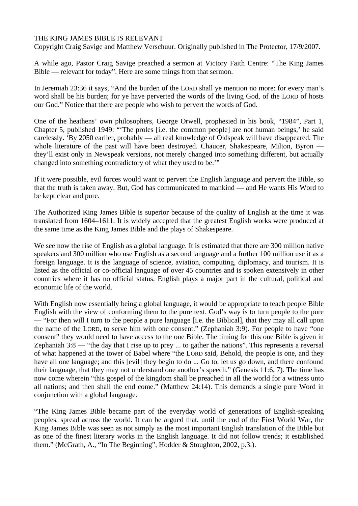## THE KING JAMES BIBLE IS RELEVANT

Copyright Craig Savige and Matthew Verschuur. Originally published in The Protector, 17/9/2007.

A while ago, Pastor Craig Savige preached a sermon at Victory Faith Centre: "The King James Bible — relevant for today". Here are some things from that sermon.

In Jeremiah 23:36 it says, "And the burden of the LORD shall ye mention no more: for every man's word shall be his burden; for ye have perverted the words of the living God, of the LORD of hosts our God." Notice that there are people who wish to pervert the words of God.

One of the heathens' own philosophers, George Orwell, prophesied in his book, "1984", Part 1, Chapter 5, published 1949: "'The proles [i.e. the common people] are not human beings,' he said carelessly. 'By 2050 earlier, probably — all real knowledge of Oldspeak will have disappeared. The whole literature of the past will have been destroyed. Chaucer, Shakespeare, Milton, Byron they'll exist only in Newspeak versions, not merely changed into something different, but actually changed into something contradictory of what they used to be.'"

If it were possible, evil forces would want to pervert the English language and pervert the Bible, so that the truth is taken away. But, God has communicated to mankind — and He wants His Word to be kept clear and pure.

The Authorized King James Bible is superior because of the quality of English at the time it was translated from 1604–1611. It is widely accepted that the greatest English works were produced at the same time as the King James Bible and the plays of Shakespeare.

We see now the rise of English as a global language. It is estimated that there are 300 million native speakers and 300 million who use English as a second language and a further 100 million use it as a foreign language. It is the language of science, aviation, computing, diplomacy, and tourism. It is listed as the official or co-official language of over 45 countries and is spoken extensively in other countries where it has no official status. English plays a major part in the cultural, political and economic life of the world.

With English now essentially being a global language, it would be appropriate to teach people Bible English with the view of conforming them to the pure text. God's way is to turn people to the pure — "For then will I turn to the people a pure language [i.e. the Biblical], that they may all call upon the name of the LORD, to serve him with one consent." (Zephaniah 3:9). For people to have "one consent" they would need to have access to the one Bible. The timing for this one Bible is given in Zephaniah 3:8 — "the day that I rise up to prey ... to gather the nations". This represents a reversal of what happened at the tower of Babel where "the LORD said, Behold, the people is one, and they have all one language; and this [evil] they begin to do ... Go to, let us go down, and there confound their language, that they may not understand one another's speech." (Genesis 11:6, 7). The time has now come wherein "this gospel of the kingdom shall be preached in all the world for a witness unto all nations; and then shall the end come." (Matthew 24:14). This demands a single pure Word in conjunction with a global language.

"The King James Bible became part of the everyday world of generations of English-speaking peoples, spread across the world. It can be argued that, until the end of the First World War, the King James Bible was seen as not simply as the most important English translation of the Bible but as one of the finest literary works in the English language. It did not follow trends; it established them." (McGrath, A., "In The Beginning", Hodder & Stoughton, 2002, p.3.).